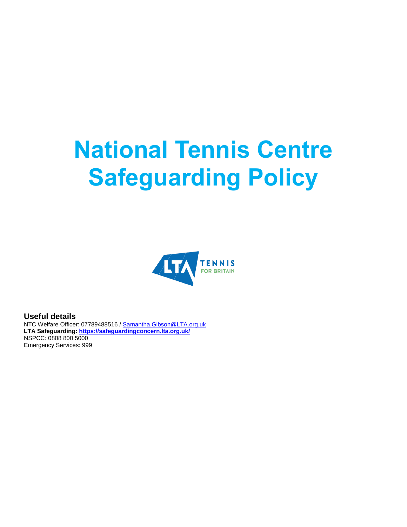# **National Tennis Centre Safeguarding Policy**



**Useful details**

NTC Welfare Officer: 07789488516 / [Samantha.Gibson@LTA.org.uk](mailto:Samantha.gibson@lta.org.uk) **LTA Safeguarding: <https://safeguardingconcern.lta.org.uk/>** NSPCC: 0808 800 5000 Emergency Services: 999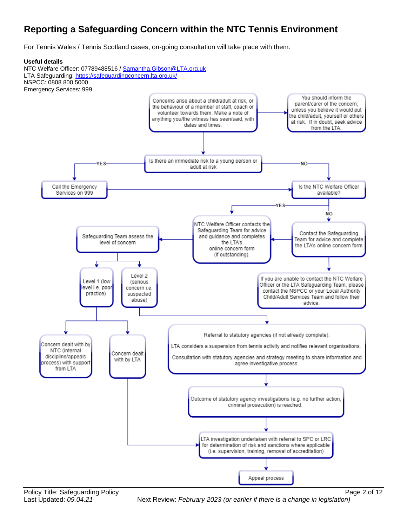# **Reporting a Safeguarding Concern within the NTC Tennis Environment**

For Tennis Wales / Tennis Scotland cases, on-going consultation will take place with them.

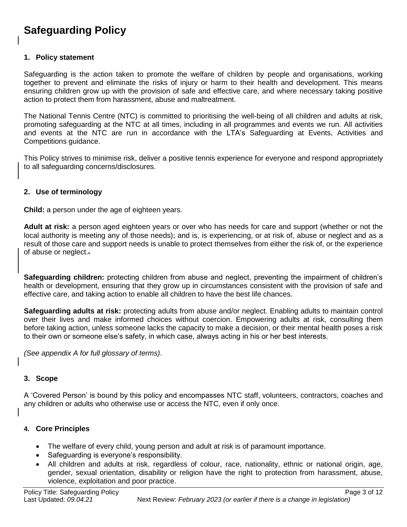# **Safeguarding Policy**

#### **1. Policy statement**

Safeguarding is the action taken to promote the welfare of children by people and organisations, working together to prevent and eliminate the risks of injury or harm to their health and development. This means ensuring children grow up with the provision of safe and effective care, and where necessary taking positive action to protect them from harassment, abuse and maltreatment.

The National Tennis Centre (NTC) is committed to prioritising the well-being of all children and adults at risk, promoting safeguarding at the NTC at all times, including in all programmes and events we run. All activities and events at the NTC are run in accordance with the LTA's Safeguarding at Events, Activities and Competitions guidance.

This Policy strives to minimise risk, deliver a positive tennis experience for everyone and respond appropriately to all safeguarding concerns/disclosures.

#### **2. Use of terminology**

**Child:** a person under the age of eighteen years.

**Adult at risk:** a person aged eighteen years or over who has needs for care and support (whether or not the local authority is meeting any of those needs); and is, is experiencing, or at risk of, abuse or neglect and as a result of those care and support needs is unable to protect themselves from either the risk of, or the experience of abuse or neglect..

**Safeguarding children:** protecting children from abuse and neglect, preventing the impairment of children's health or development, ensuring that they grow up in circumstances consistent with the provision of safe and effective care, and taking action to enable all children to have the best life chances.

**Safeguarding adults at risk:** protecting adults from abuse and/or neglect. Enabling adults to maintain control over their lives and make informed choices without coercion. Empowering adults at risk, consulting them before taking action, unless someone lacks the capacity to make a decision, or their mental health poses a risk to their own or someone else's safety, in which case, always acting in his or her best interests.

*(See appendix A for full glossary of terms)*.

#### **3. Scope**

A 'Covered Person' is bound by this policy and encompasses NTC staff, volunteers, contractors, coaches and any children or adults who otherwise use or access the NTC, even if only once.

#### **4. Core Principles**

- The welfare of every child, young person and adult at risk is of paramount importance.
- Safeguarding is everyone's responsibility.
- All children and adults at risk, regardless of colour, race, nationality, ethnic or national origin, age, gender, sexual orientation, disability or religion have the right to protection from harassment, abuse, violence, exploitation and poor practice.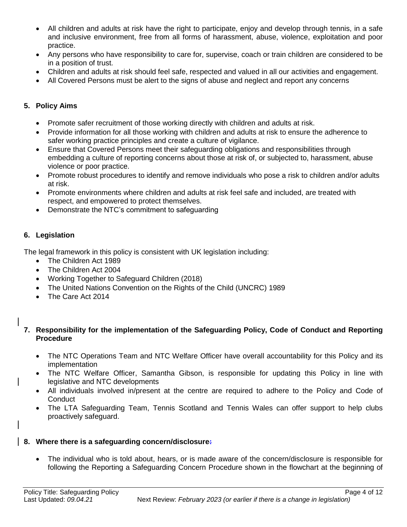- All children and adults at risk have the right to participate, enjoy and develop through tennis, in a safe and inclusive environment, free from all forms of harassment, abuse, violence, exploitation and poor practice.
- Any persons who have responsibility to care for, supervise, coach or train children are considered to be in a position of trust.
- Children and adults at risk should feel safe, respected and valued in all our activities and engagement.
- All Covered Persons must be alert to the signs of abuse and neglect and report any concerns

#### **5. Policy Aims**

- Promote safer recruitment of those working directly with children and adults at risk.
- Provide information for all those working with children and adults at risk to ensure the adherence to safer working practice principles and create a culture of vigilance.
- Ensure that Covered Persons meet their safeguarding obligations and responsibilities through embedding a culture of reporting concerns about those at risk of, or subjected to, harassment, abuse violence or poor practice.
- Promote robust procedures to identify and remove individuals who pose a risk to children and/or adults at risk.
- Promote environments where children and adults at risk feel safe and included, are treated with respect, and empowered to protect themselves.
- Demonstrate the NTC's commitment to safeguarding

#### **6. Legislation**

The legal framework in this policy is consistent with UK legislation including:

- The Children Act 1989
- The Children Act 2004
- Working Together to Safeguard Children (2018)
- The United Nations Convention on the Rights of the Child (UNCRC) 1989
- The Care Act 2014

#### **7. Responsibility for the implementation of the Safeguarding Policy, Code of Conduct and Reporting Procedure**

- The NTC Operations Team and NTC Welfare Officer have overall accountability for this Policy and its implementation
- The NTC Welfare Officer, Samantha Gibson, is responsible for updating this Policy in line with legislative and NTC developments
- All individuals involved in/present at the centre are required to adhere to the Policy and Code of **Conduct**
- The LTA Safeguarding Team, Tennis Scotland and Tennis Wales can offer support to help clubs proactively safeguard.

#### **8. Where there is a safeguarding concern/disclosure:**

 The individual who is told about, hears, or is made aware of the concern/disclosure is responsible for following the Reporting a Safeguarding Concern Procedure shown in the flowchart at the beginning of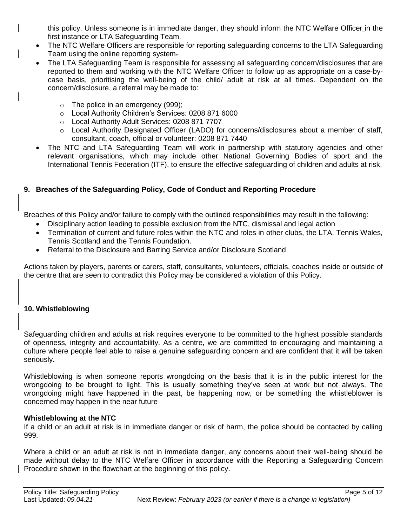this policy. Unless someone is in immediate danger, they should inform the NTC Welfare Officer in the first instance or LTA Safeguarding Team.

- The NTC Welfare Officers are responsible for reporting safeguarding concerns to the LTA Safeguarding Team using the online reporting system.
- The LTA Safeguarding Team is responsible for assessing all safeguarding concern/disclosures that are reported to them and working with the NTC Welfare Officer to follow up as appropriate on a case-bycase basis, prioritising the well-being of the child/ adult at risk at all times. Dependent on the concern/disclosure, a referral may be made to:
	- o The police in an emergency (999);
	- o Local Authority Children's Services: 0208 871 6000
	- o Local Authority Adult Services: 0208 871 7707
	- o Local Authority Designated Officer (LADO) for concerns/disclosures about a member of staff, consultant, coach, official or volunteer: 0208 871 7440
- The NTC and LTA Safeguarding Team will work in partnership with statutory agencies and other relevant organisations, which may include other National Governing Bodies of sport and the International Tennis Federation (ITF), to ensure the effective safeguarding of children and adults at risk.

#### **9. Breaches of the Safeguarding Policy, Code of Conduct and Reporting Procedure**

Breaches of this Policy and/or failure to comply with the outlined responsibilities may result in the following:

- Disciplinary action leading to possible exclusion from the NTC, dismissal and legal action
- Termination of current and future roles within the NTC and roles in other clubs, the LTA, Tennis Wales, Tennis Scotland and the Tennis Foundation.
- Referral to the Disclosure and Barring Service and/or Disclosure Scotland

Actions taken by players, parents or carers, staff, consultants, volunteers, officials, coaches inside or outside of the centre that are seen to contradict this Policy may be considered a violation of this Policy.

#### **10. Whistleblowing**

Safeguarding children and adults at risk requires everyone to be committed to the highest possible standards of openness, integrity and accountability. As a centre, we are committed to encouraging and maintaining a culture where people feel able to raise a genuine safeguarding concern and are confident that it will be taken seriously.

Whistleblowing is when someone reports wrongdoing on the basis that it is in the public interest for the wrongdoing to be brought to light. This is usually something they've seen at work but not always. The wrongdoing might have happened in the past, be happening now, or be something the whistleblower is concerned may happen in the near future

#### **Whistleblowing at the NTC**

If a child or an adult at risk is in immediate danger or risk of harm, the police should be contacted by calling 999.

Where a child or an adult at risk is not in immediate danger, any concerns about their well-being should be made without delay to the NTC Welfare Officer in accordance with the Reporting a Safeguarding Concern Procedure shown in the flowchart at the beginning of this policy.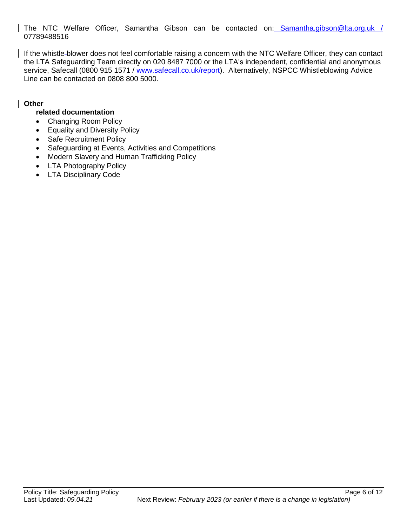The NTC Welfare Officer, Samantha Gibson can be contacted on: [Samantha.gibson@lta.org.uk](mailto:Samantha.gibson@lta.org.uk) 07789488516

If the whistle-blower does not feel comfortable raising a concern with the NTC Welfare Officer, they can contact the LTA Safeguarding Team directly on 020 8487 7000 or the LTA's independent, confidential and anonymous service, Safecall (0800 915 1571 / [www.safecall.co.uk/report\)](http://www.safecall.co.uk/report). Alternatively, NSPCC Whistleblowing Advice Line can be contacted on 0808 800 5000.

#### **Other**

#### **related documentation**

- Changing Room Policy
- Equality and Diversity Policy
- Safe Recruitment Policy
- Safeguarding at Events, Activities and Competitions
- Modern Slavery and Human Trafficking Policy
- LTA Photography Policy
- LTA Disciplinary Code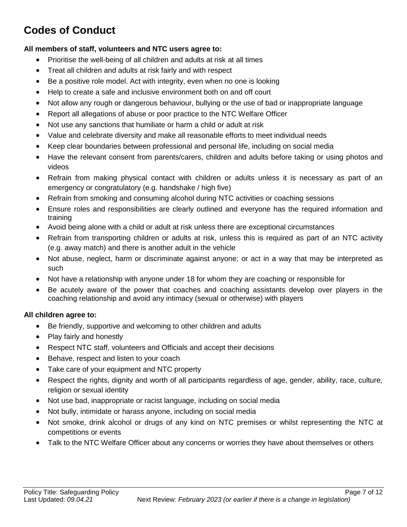# **Codes of Conduct**

#### **All members of staff, volunteers and NTC users agree to:**

- Prioritise the well-being of all children and adults at risk at all times
- Treat all children and adults at risk fairly and with respect
- Be a positive role model. Act with integrity, even when no one is looking
- Help to create a safe and inclusive environment both on and off court
- Not allow any rough or dangerous behaviour, bullying or the use of bad or inappropriate language
- Report all allegations of abuse or poor practice to the NTC Welfare Officer
- Not use any sanctions that humiliate or harm a child or adult at risk
- Value and celebrate diversity and make all reasonable efforts to meet individual needs
- Keep clear boundaries between professional and personal life, including on social media
- Have the relevant consent from parents/carers, children and adults before taking or using photos and videos
- Refrain from making physical contact with children or adults unless it is necessary as part of an emergency or congratulatory (e.g. handshake / high five)
- Refrain from smoking and consuming alcohol during NTC activities or coaching sessions
- Ensure roles and responsibilities are clearly outlined and everyone has the required information and training
- Avoid being alone with a child or adult at risk unless there are exceptional circumstances
- Refrain from transporting children or adults at risk, unless this is required as part of an NTC activity (e.g. away match) and there is another adult in the vehicle
- Not abuse, neglect, harm or discriminate against anyone; or act in a way that may be interpreted as such
- Not have a relationship with anyone under 18 for whom they are coaching or responsible for
- Be acutely aware of the power that coaches and coaching assistants develop over players in the coaching relationship and avoid any intimacy (sexual or otherwise) with players

#### **All children agree to:**

- Be friendly, supportive and welcoming to other children and adults
- Play fairly and honestly
- Respect NTC staff, volunteers and Officials and accept their decisions
- Behave, respect and listen to your coach
- Take care of your equipment and NTC property
- Respect the rights, dignity and worth of all participants regardless of age, gender, ability, race, culture, religion or sexual identity
- Not use bad, inappropriate or racist language, including on social media
- Not bully, intimidate or harass anyone, including on social media
- Not smoke, drink alcohol or drugs of any kind on NTC premises or whilst representing the NTC at competitions or events
- Talk to the NTC Welfare Officer about any concerns or worries they have about themselves or others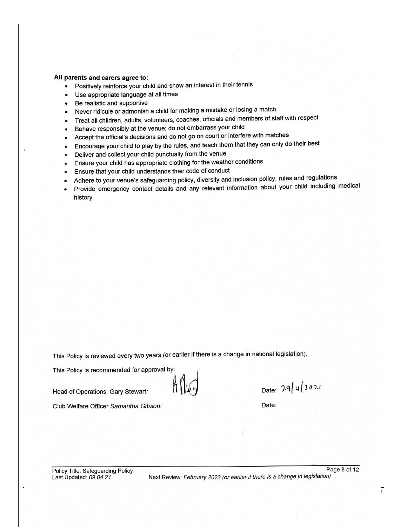#### All parents and carers agree to:

- Positively reinforce your child and show an interest in their tennis  $\bullet$
- Use appropriate language at all times  $\bullet$
- Be realistic and supportive  $\bullet$
- Never ridicule or admonish a child for making a mistake or losing a match  $\bullet$
- Treat all children, adults, volunteers, coaches, officials and members of staff with respect  $\bullet$
- Behave responsibly at the venue; do not embarrass your child  $\bullet$
- Accept the official's decisions and do not go on court or interfere with matches  $\bullet$
- Encourage your child to play by the rules, and teach them that they can only do their best  $\bullet$
- Deliver and collect your child punctually from the venue
- Ensure your child has appropriate clothing for the weather conditions  $\bullet$
- Ensure that your child understands their code of conduct  $\bullet$
- Adhere to your venue's safeguarding policy, diversity and inclusion policy, rules and regulations  $\bullet$
- Provide emergency contact details and any relevant information about your child including medical history

This Policy is reviewed every two years (or earlier if there is a change in national legislation).

This Policy is recommended for approval by:

Head of Operations, Gary Stewart.

Club Welfare Officer Samantha Gibson:

Date: 29/4/2021

Date:

Next Review: February 2023 (or earlier if there is a change in legislation)

Page 8 of 12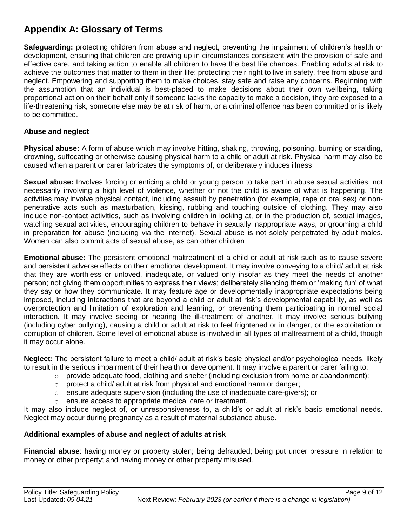## **Appendix A: Glossary of Terms**

**Safeguarding:** protecting children from abuse and neglect, preventing the impairment of children's health or development, ensuring that children are growing up in circumstances consistent with the provision of safe and effective care, and taking action to enable all children to have the best life chances. Enabling adults at risk to achieve the outcomes that matter to them in their life; protecting their right to live in safety, free from abuse and neglect. Empowering and supporting them to make choices, stay safe and raise any concerns. Beginning with the assumption that an individual is best-placed to make decisions about their own wellbeing, taking proportional action on their behalf only if someone lacks the capacity to make a decision, they are exposed to a life-threatening risk, someone else may be at risk of harm, or a criminal offence has been committed or is likely to be committed.

#### **Abuse and neglect**

**Physical abuse:** A form of abuse which may involve hitting, shaking, throwing, poisoning, burning or scalding, drowning, suffocating or otherwise causing physical harm to a child or adult at risk. Physical harm may also be caused when a parent or carer fabricates the symptoms of, or deliberately induces illness

**Sexual abuse:** Involves forcing or enticing a child or young person to take part in abuse sexual activities, not necessarily involving a high level of violence, whether or not the child is aware of what is happening. The activities may involve physical contact, including assault by penetration (for example, rape or oral sex) or nonpenetrative acts such as masturbation, kissing, rubbing and touching outside of clothing. They may also include non-contact activities, such as involving children in looking at, or in the production of, sexual images, watching sexual activities, encouraging children to behave in sexually inappropriate ways, or grooming a child in preparation for abuse (including via the internet). Sexual abuse is not solely perpetrated by adult males. Women can also commit acts of sexual abuse, as can other children

**Emotional abuse:** The persistent emotional maltreatment of a child or adult at risk such as to cause severe and persistent adverse effects on their emotional development. It may involve conveying to a child/ adult at risk that they are worthless or unloved, inadequate, or valued only insofar as they meet the needs of another person; not giving them opportunities to express their views; deliberately silencing them or 'making fun' of what they say or how they communicate. It may feature age or developmentally inappropriate expectations being imposed, including interactions that are beyond a child or adult at risk's developmental capability, as well as overprotection and limitation of exploration and learning, or preventing them participating in normal social interaction. It may involve seeing or hearing the ill-treatment of another. It may involve serious bullying (including cyber bullying), causing a child or adult at risk to feel frightened or in danger, or the exploitation or corruption of children. Some level of emotional abuse is involved in all types of maltreatment of a child, though it may occur alone.

**Neglect:** The persistent failure to meet a child/ adult at risk's basic physical and/or psychological needs, likely to result in the serious impairment of their health or development. It may involve a parent or carer failing to:

- $\circ$  provide adequate food, clothing and shelter (including exclusion from home or abandonment);
- o protect a child/ adult at risk from physical and emotional harm or danger;
- $\circ$  ensure adequate supervision (including the use of inadequate care-givers); or
- o ensure access to appropriate medical care or treatment.

It may also include neglect of, or unresponsiveness to, a child's or adult at risk's basic emotional needs. Neglect may occur during pregnancy as a result of maternal substance abuse.

#### **Additional examples of abuse and neglect of adults at risk**

**Financial abuse**: having money or property stolen; being defrauded; being put under pressure in relation to money or other property; and having money or other property misused.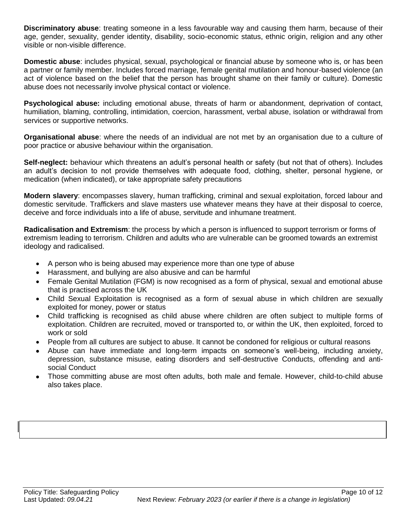**Discriminatory abuse**: treating someone in a less favourable way and causing them harm, because of their age, gender, sexuality, gender identity, disability, socio-economic status, ethnic origin, religion and any other visible or non-visible difference.

**Domestic abuse**: includes physical, sexual, psychological or financial abuse by someone who is, or has been a partner or family member. Includes forced marriage, female genital mutilation and honour-based violence (an act of violence based on the belief that the person has brought shame on their family or culture). Domestic abuse does not necessarily involve physical contact or violence.

**Psychological abuse:** including emotional abuse, threats of harm or abandonment, deprivation of contact, humiliation, blaming, controlling, intimidation, coercion, harassment, verbal abuse, isolation or withdrawal from services or supportive networks.

**Organisational abuse**: where the needs of an individual are not met by an organisation due to a culture of poor practice or abusive behaviour within the organisation.

**Self-neglect:** behaviour which threatens an adult's personal health or safety (but not that of others). Includes an adult's decision to not provide themselves with adequate food, clothing, shelter, personal hygiene, or medication (when indicated), or take appropriate safety precautions

**Modern slavery**: encompasses slavery, human trafficking, criminal and sexual exploitation, forced labour and domestic servitude. Traffickers and slave masters use whatever means they have at their disposal to coerce, deceive and force individuals into a life of abuse, servitude and inhumane treatment.

**Radicalisation and Extremism**: the process by which a person is influenced to support terrorism or forms of extremism leading to terrorism. Children and adults who are vulnerable can be groomed towards an extremist ideology and radicalised.

- A person who is being abused may experience more than one type of abuse
- Harassment, and bullying are also abusive and can be harmful
- Female Genital Mutilation (FGM) is now recognised as a form of physical, sexual and emotional abuse that is practised across the UK
- Child Sexual Exploitation is recognised as a form of sexual abuse in which children are sexually exploited for money, power or status
- Child trafficking is recognised as child abuse where children are often subject to multiple forms of exploitation. Children are recruited, moved or transported to, or within the UK, then exploited, forced to work or sold
- People from all cultures are subject to abuse. It cannot be condoned for religious or cultural reasons
- Abuse can have immediate and long-term impacts on someone's well-being, including anxiety, depression, substance misuse, eating disorders and self-destructive Conducts, offending and antisocial Conduct
- Those committing abuse are most often adults, both male and female. However, child-to-child abuse also takes place.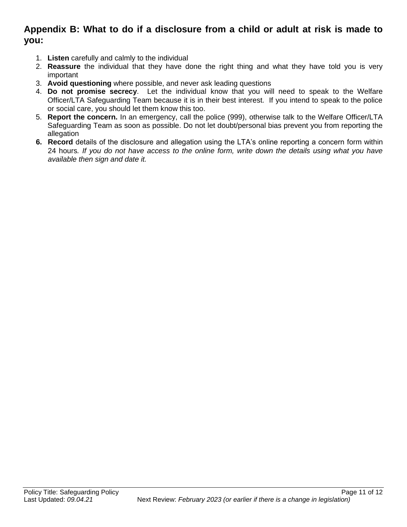### **Appendix B: What to do if a disclosure from a child or adult at risk is made to you:**

- 1. **Listen** carefully and calmly to the individual
- 2. **Reassure** the individual that they have done the right thing and what they have told you is very important
- 3. **Avoid questioning** where possible, and never ask leading questions
- 4. **Do not promise secrecy**. Let the individual know that you will need to speak to the Welfare Officer/LTA Safeguarding Team because it is in their best interest. If you intend to speak to the police or social care, you should let them know this too.
- 5. **Report the concern.** In an emergency, call the police (999), otherwise talk to the Welfare Officer/LTA Safeguarding Team as soon as possible. Do not let doubt/personal bias prevent you from reporting the allegation
- **6. Record** details of the disclosure and allegation using the LTA's online reporting a concern form within 24 hours*. If you do not have access to the online form, write down the details using what you have available then sign and date it.*